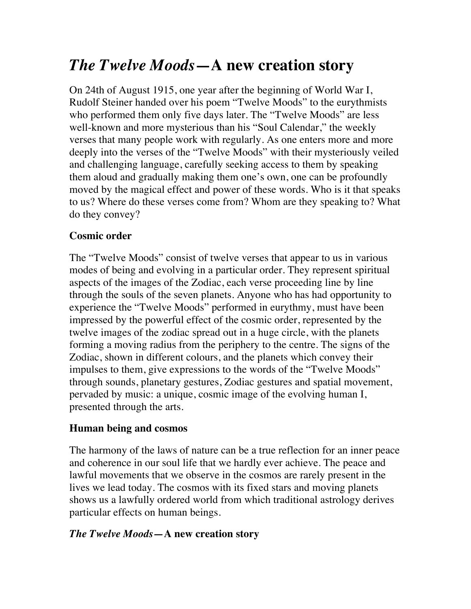# *The Twelve Moods***—A new creation story**

On 24th of August 1915, one year after the beginning of World War I, Rudolf Steiner handed over his poem "Twelve Moods" to the eurythmists who performed them only five days later. The "Twelve Moods" are less well-known and more mysterious than his "Soul Calendar," the weekly verses that many people work with regularly. As one enters more and more deeply into the verses of the "Twelve Moods" with their mysteriously veiled and challenging language, carefully seeking access to them by speaking them aloud and gradually making them one's own, one can be profoundly moved by the magical effect and power of these words. Who is it that speaks to us? Where do these verses come from? Whom are they speaking to? What do they convey?

### **Cosmic order**

The "Twelve Moods" consist of twelve verses that appear to us in various modes of being and evolving in a particular order. They represent spiritual aspects of the images of the Zodiac, each verse proceeding line by line through the souls of the seven planets. Anyone who has had opportunity to experience the "Twelve Moods" performed in eurythmy, must have been impressed by the powerful effect of the cosmic order, represented by the twelve images of the zodiac spread out in a huge circle, with the planets forming a moving radius from the periphery to the centre. The signs of the Zodiac, shown in different colours, and the planets which convey their impulses to them, give expressions to the words of the "Twelve Moods" through sounds, planetary gestures, Zodiac gestures and spatial movement, pervaded by music: a unique, cosmic image of the evolving human I, presented through the arts.

## **Human being and cosmos**

The harmony of the laws of nature can be a true reflection for an inner peace and coherence in our soul life that we hardly ever achieve. The peace and lawful movements that we observe in the cosmos are rarely present in the lives we lead today. The cosmos with its fixed stars and moving planets shows us a lawfully ordered world from which traditional astrology derives particular effects on human beings.

#### *The Twelve Moods—***A new creation story**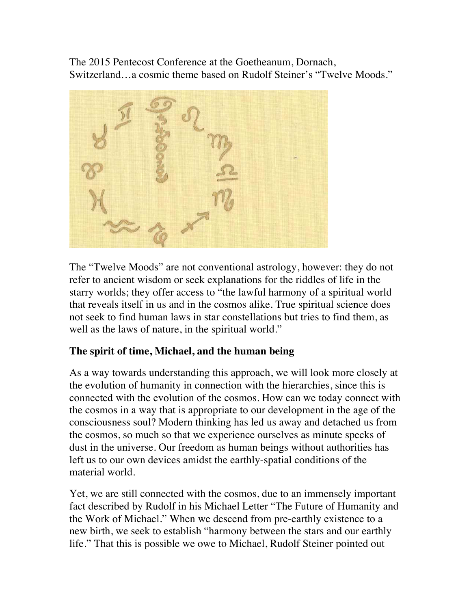The 2015 Pentecost Conference at the Goetheanum, Dornach, Switzerland…a cosmic theme based on Rudolf Steiner's "Twelve Moods."



The "Twelve Moods" are not conventional astrology, however: they do not refer to ancient wisdom or seek explanations for the riddles of life in the starry worlds; they offer access to "the lawful harmony of a spiritual world that reveals itself in us and in the cosmos alike. True spiritual science does not seek to find human laws in star constellations but tries to find them, as well as the laws of nature, in the spiritual world."

#### **The spirit of time, Michael, and the human being**

As a way towards understanding this approach, we will look more closely at the evolution of humanity in connection with the hierarchies, since this is connected with the evolution of the cosmos. How can we today connect with the cosmos in a way that is appropriate to our development in the age of the consciousness soul? Modern thinking has led us away and detached us from the cosmos, so much so that we experience ourselves as minute specks of dust in the universe. Our freedom as human beings without authorities has left us to our own devices amidst the earthly-spatial conditions of the material world.

Yet, we are still connected with the cosmos, due to an immensely important fact described by Rudolf in his Michael Letter "The Future of Humanity and the Work of Michael." When we descend from pre-earthly existence to a new birth, we seek to establish "harmony between the stars and our earthly life." That this is possible we owe to Michael, Rudolf Steiner pointed out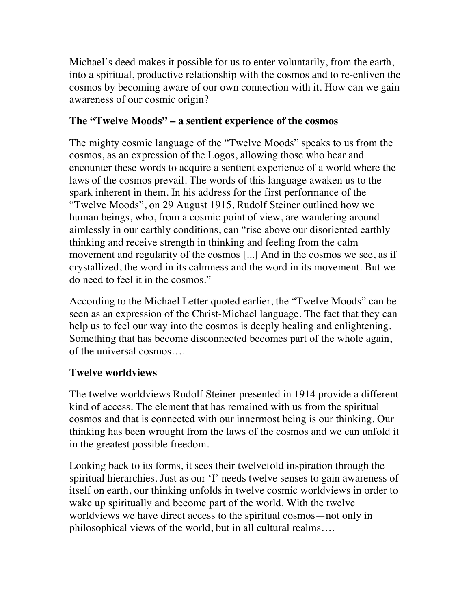Michael's deed makes it possible for us to enter voluntarily, from the earth, into a spiritual, productive relationship with the cosmos and to re-enliven the cosmos by becoming aware of our own connection with it. How can we gain awareness of our cosmic origin?

#### **The "Twelve Moods" – a sentient experience of the cosmos**

The mighty cosmic language of the "Twelve Moods" speaks to us from the cosmos, as an expression of the Logos, allowing those who hear and encounter these words to acquire a sentient experience of a world where the laws of the cosmos prevail. The words of this language awaken us to the spark inherent in them. In his address for the first performance of the "Twelve Moods", on 29 August 1915, Rudolf Steiner outlined how we human beings, who, from a cosmic point of view, are wandering around aimlessly in our earthly conditions, can "rise above our disoriented earthly thinking and receive strength in thinking and feeling from the calm movement and regularity of the cosmos [...] And in the cosmos we see, as if crystallized, the word in its calmness and the word in its movement. But we do need to feel it in the cosmos."

According to the Michael Letter quoted earlier, the "Twelve Moods" can be seen as an expression of the Christ-Michael language. The fact that they can help us to feel our way into the cosmos is deeply healing and enlightening. Something that has become disconnected becomes part of the whole again, of the universal cosmos….

#### **Twelve worldviews**

The twelve worldviews Rudolf Steiner presented in 1914 provide a different kind of access. The element that has remained with us from the spiritual cosmos and that is connected with our innermost being is our thinking. Our thinking has been wrought from the laws of the cosmos and we can unfold it in the greatest possible freedom.

Looking back to its forms, it sees their twelvefold inspiration through the spiritual hierarchies. Just as our 'I' needs twelve senses to gain awareness of itself on earth, our thinking unfolds in twelve cosmic worldviews in order to wake up spiritually and become part of the world. With the twelve worldviews we have direct access to the spiritual cosmos—not only in philosophical views of the world, but in all cultural realms….